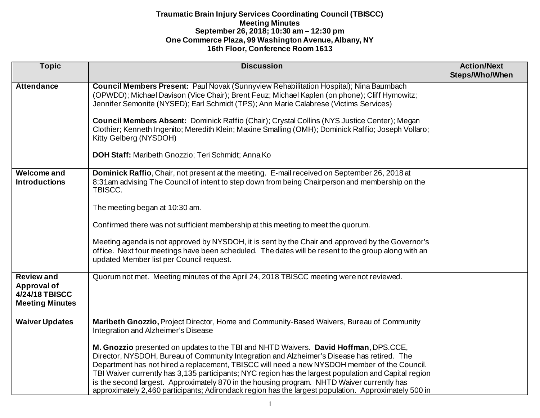| <b>Topic</b>                                                                        | <b>Discussion</b>                                                                                                                                                                                                                                                                                                                                                                                                                                                                                                                                                                                                                                                                                                                     | <b>Action/Next</b><br>Steps/Who/When |
|-------------------------------------------------------------------------------------|---------------------------------------------------------------------------------------------------------------------------------------------------------------------------------------------------------------------------------------------------------------------------------------------------------------------------------------------------------------------------------------------------------------------------------------------------------------------------------------------------------------------------------------------------------------------------------------------------------------------------------------------------------------------------------------------------------------------------------------|--------------------------------------|
| <b>Attendance</b>                                                                   | Council Members Present: Paul Novak (Sunnyview Rehabilitation Hospital); Nina Baumbach<br>(OPWDD); Michael Davison (Vice Chair); Brent Feuz; Michael Kaplen (on phone); Cliff Hymowitz;<br>Jennifer Semonite (NYSED); Earl Schmidt (TPS); Ann Marie Calabrese (Victims Services)<br>Council Members Absent: Dominick Raffio (Chair); Crystal Collins (NYS Justice Center); Megan<br>Clothier; Kenneth Ingenito; Meredith Klein; Maxine Smalling (OMH); Dominick Raffio; Joseph Vollaro;<br>Kitty Gelberg (NYSDOH)<br>DOH Staff: Maribeth Gnozzio; Teri Schmidt; Anna Ko                                                                                                                                                               |                                      |
| <b>Welcome and</b><br><b>Introductions</b>                                          | Dominick Raffio, Chair, not present at the meeting. E-mail received on September 26, 2018 at<br>8:31am advising The Council of intent to step down from being Chairperson and membership on the<br>TBISCC.<br>The meeting began at 10:30 am.<br>Confirmed there was not sufficient membership at this meeting to meet the quorum.<br>Meeting agenda is not approved by NYSDOH, it is sent by the Chair and approved by the Governor's<br>office. Next four meetings have been scheduled. The dates will be resent to the group along with an<br>updated Member list per Council request.                                                                                                                                              |                                      |
| <b>Review and</b><br><b>Approval of</b><br>4/24/18 TBISCC<br><b>Meeting Minutes</b> | Quorum not met. Meeting minutes of the April 24, 2018 TBISCC meeting were not reviewed.                                                                                                                                                                                                                                                                                                                                                                                                                                                                                                                                                                                                                                               |                                      |
| <b>Waiver Updates</b>                                                               | Maribeth Gnozzio, Project Director, Home and Community-Based Waivers, Bureau of Community<br>Integration and Alzheimer's Disease<br>M. Gnozzio presented on updates to the TBI and NHTD Waivers. David Hoffman, DPS.CCE,<br>Director, NYSDOH, Bureau of Community Integration and Alzheimer's Disease has retired. The<br>Department has not hired a replacement, TBISCC will need a new NYSDOH member of the Council.<br>TBI Waiver currently has 3,135 participants; NYC region has the largest population and Capital region<br>is the second largest. Approximately 870 in the housing program. NHTD Waiver currently has<br>approximately 2,460 participants; Adirondack region has the largest population. Approximately 500 in |                                      |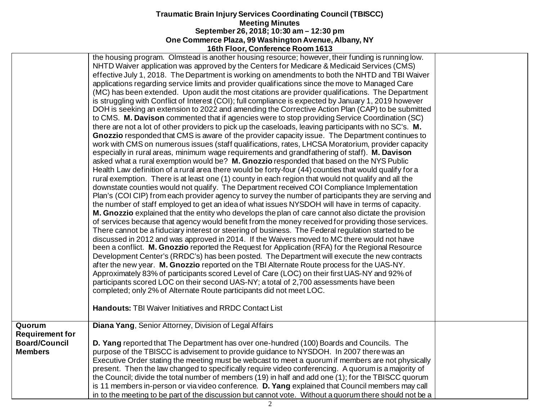| the housing program. Olmstead is another housing resource; however, their funding is running low.<br>NHTD Waiver application was approved by the Centers for Medicare & Medicaid Services (CMS)<br>effective July 1, 2018. The Department is working on amendments to both the NHTD and TBI Waiver                                                                                                                                                                                                                                                                                                                                                                                                                                                                                                                                                                                                                                                                                                                                                                                                                                                                                                                                                                                                                                                                                                                                                                                                                                                                                                                                                                                                                                                                                                                                                                                                                                                                                                                                                                                                                                                                                                                                                                                                                                                                                                                                                                                                                                                                                                                           |  |
|------------------------------------------------------------------------------------------------------------------------------------------------------------------------------------------------------------------------------------------------------------------------------------------------------------------------------------------------------------------------------------------------------------------------------------------------------------------------------------------------------------------------------------------------------------------------------------------------------------------------------------------------------------------------------------------------------------------------------------------------------------------------------------------------------------------------------------------------------------------------------------------------------------------------------------------------------------------------------------------------------------------------------------------------------------------------------------------------------------------------------------------------------------------------------------------------------------------------------------------------------------------------------------------------------------------------------------------------------------------------------------------------------------------------------------------------------------------------------------------------------------------------------------------------------------------------------------------------------------------------------------------------------------------------------------------------------------------------------------------------------------------------------------------------------------------------------------------------------------------------------------------------------------------------------------------------------------------------------------------------------------------------------------------------------------------------------------------------------------------------------------------------------------------------------------------------------------------------------------------------------------------------------------------------------------------------------------------------------------------------------------------------------------------------------------------------------------------------------------------------------------------------------------------------------------------------------------------------------------------------------|--|
| applications regarding service limits and provider qualifications since the move to Managed Care<br>(MC) has been extended. Upon audit the most citations are provider qualifications. The Department<br>is struggling with Conflict of Interest (COI); full compliance is expected by January 1, 2019 however<br>DOH is seeking an extension to 2022 and amending the Corrective Action Plan (CAP) to be submitted<br>to CMS. M. Davison commented that if agencies were to stop providing Service Coordination (SC)<br>there are not a lot of other providers to pick up the caseloads, leaving participants with no SC's. M.<br>Gnozzio responded that CMS is aware of the provider capacity issue. The Department continues to<br>work with CMS on numerous issues (staff qualifications, rates, LHCSA Moratorium, provider capacity<br>especially in rural areas, minimum wage requirements and grandfathering of staff). M. Davison<br>asked what a rural exemption would be? M. Gnozzio responded that based on the NYS Public<br>Health Law definition of a rural area there would be forty-four (44) counties that would qualify for a<br>rural exemption. There is at least one (1) county in each region that would not qualify and all the<br>downstate counties would not qualify. The Department received COI Compliance Implementation<br>Plan's (COI CIP) from each provider agency to survey the number of participants they are serving and<br>the number of staff employed to get an idea of what issues NYSDOH will have in terms of capacity.<br>M. Gnozzio explained that the entity who develops the plan of care cannot also dictate the provision<br>of services because that agency would benefit from the money received for providing those services.<br>There cannot be a fiduciary interest or steering of business. The Federal regulation started to be<br>discussed in 2012 and was approved in 2014. If the Waivers moved to MC there would not have<br>been a conflict. M. Gnozzio reported the Request for Application (RFA) for the Regional Resource<br>Development Center's (RRDC's) has been posted. The Department will execute the new contracts<br>after the new year. M. Gnozzio reported on the TBI Alternate Route process for the UAS-NY.<br>Approximately 83% of participants scored Level of Care (LOC) on their first UAS-NY and 92% of<br>participants scored LOC on their second UAS-NY; a total of 2,700 assessments have been<br>completed; only 2% of Alternate Route participants did not meet LOC.<br><b>Handouts: TBI Waiver Initiatives and RRDC Contact List</b> |  |
| Diana Yang, Senior Attorney, Division of Legal Affairs<br>Quorum                                                                                                                                                                                                                                                                                                                                                                                                                                                                                                                                                                                                                                                                                                                                                                                                                                                                                                                                                                                                                                                                                                                                                                                                                                                                                                                                                                                                                                                                                                                                                                                                                                                                                                                                                                                                                                                                                                                                                                                                                                                                                                                                                                                                                                                                                                                                                                                                                                                                                                                                                             |  |
| <b>Requirement for</b>                                                                                                                                                                                                                                                                                                                                                                                                                                                                                                                                                                                                                                                                                                                                                                                                                                                                                                                                                                                                                                                                                                                                                                                                                                                                                                                                                                                                                                                                                                                                                                                                                                                                                                                                                                                                                                                                                                                                                                                                                                                                                                                                                                                                                                                                                                                                                                                                                                                                                                                                                                                                       |  |
| <b>Board/Council</b><br>D. Yang reported that The Department has over one-hundred (100) Boards and Councils. The                                                                                                                                                                                                                                                                                                                                                                                                                                                                                                                                                                                                                                                                                                                                                                                                                                                                                                                                                                                                                                                                                                                                                                                                                                                                                                                                                                                                                                                                                                                                                                                                                                                                                                                                                                                                                                                                                                                                                                                                                                                                                                                                                                                                                                                                                                                                                                                                                                                                                                             |  |
| purpose of the TBISCC is advisement to provide guidance to NYSDOH. In 2007 there was an<br><b>Members</b>                                                                                                                                                                                                                                                                                                                                                                                                                                                                                                                                                                                                                                                                                                                                                                                                                                                                                                                                                                                                                                                                                                                                                                                                                                                                                                                                                                                                                                                                                                                                                                                                                                                                                                                                                                                                                                                                                                                                                                                                                                                                                                                                                                                                                                                                                                                                                                                                                                                                                                                    |  |
| Executive Order stating the meeting must be webcast to meet a quorum if members are not physically<br>present. Then the law changed to specifically require video conferencing. A quorum is a majority of                                                                                                                                                                                                                                                                                                                                                                                                                                                                                                                                                                                                                                                                                                                                                                                                                                                                                                                                                                                                                                                                                                                                                                                                                                                                                                                                                                                                                                                                                                                                                                                                                                                                                                                                                                                                                                                                                                                                                                                                                                                                                                                                                                                                                                                                                                                                                                                                                    |  |
| the Council; divide the total number of members (19) in half and add one (1); for the TBISCC quorum                                                                                                                                                                                                                                                                                                                                                                                                                                                                                                                                                                                                                                                                                                                                                                                                                                                                                                                                                                                                                                                                                                                                                                                                                                                                                                                                                                                                                                                                                                                                                                                                                                                                                                                                                                                                                                                                                                                                                                                                                                                                                                                                                                                                                                                                                                                                                                                                                                                                                                                          |  |
| is 11 members in-person or via video conference. D. Yang explained that Council members may call                                                                                                                                                                                                                                                                                                                                                                                                                                                                                                                                                                                                                                                                                                                                                                                                                                                                                                                                                                                                                                                                                                                                                                                                                                                                                                                                                                                                                                                                                                                                                                                                                                                                                                                                                                                                                                                                                                                                                                                                                                                                                                                                                                                                                                                                                                                                                                                                                                                                                                                             |  |
| in to the meeting to be part of the discussion but cannot vote. Without a quorum there should not be a                                                                                                                                                                                                                                                                                                                                                                                                                                                                                                                                                                                                                                                                                                                                                                                                                                                                                                                                                                                                                                                                                                                                                                                                                                                                                                                                                                                                                                                                                                                                                                                                                                                                                                                                                                                                                                                                                                                                                                                                                                                                                                                                                                                                                                                                                                                                                                                                                                                                                                                       |  |